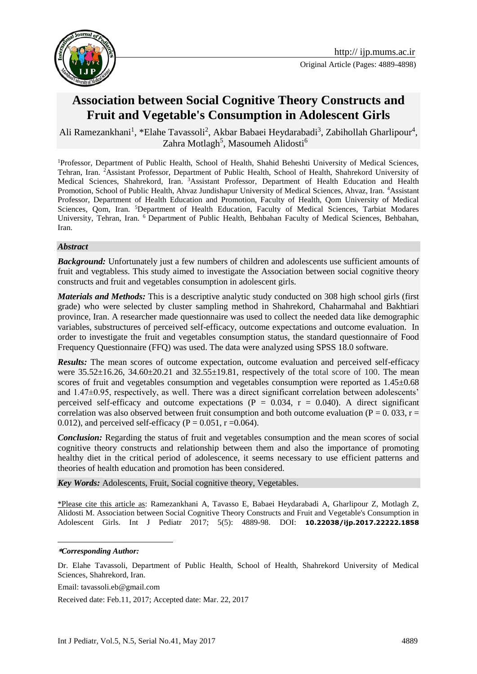



# **Association between Social Cognitive Theory Constructs and Fruit and Vegetable's Consumption in Adolescent Girls**

Ali Ramezankhani<sup>1</sup>, \*Elahe Tavassoli<sup>2</sup>, Akbar Babaei Heydarabadi<sup>3</sup>, Zabihollah Gharlipour<sup>4</sup>, Zahra Motlagh<sup>5</sup>, Masoumeh Alidosti<sup>6</sup>

<sup>1</sup>Professor, Department of Public Health, School of Health, Shahid Beheshti University of Medical Sciences, Tehran, Iran. <sup>2</sup>Assistant Professor, Department of Public Health, School of Health, Shahrekord University of Medical Sciences, Shahrekord, Iran. <sup>3</sup>Assistant Professor, Department of Health Education and Health Promotion, School of Public Health, Ahvaz Jundishapur University of Medical Sciences, Ahvaz, Iran. <sup>4</sup>Assistant Professor, Department of Health Education and Promotion, Faculty of Health, Qom University of Medical Sciences, Qom, Iran. <sup>5</sup>Department of Health Education, Faculty of Medical Sciences, Tarbiat Modares University, Tehran, Iran. <sup>6</sup> Department of Public Health, Behbahan Faculty of Medical Sciences, Behbahan, Iran.

#### *Abstract*

**Background:** Unfortunately just a few numbers of children and adolescents use sufficient amounts of fruit and vegtabless. This study aimed to investigate the Association between social cognitive theory constructs and fruit and vegetables consumption in adolescent girls.

*Materials and Methods:* This is a descriptive analytic study conducted on 308 high school girls (first grade) who were selected by cluster sampling method in Shahrekord, Chaharmahal and Bakhtiari province, Iran. A researcher made questionnaire was used to collect the needed data like demographic variables, substructures of perceived self-efficacy, outcome expectations and outcome evaluation. In order to investigate the fruit and vegetables consumption status, the standard questionnaire of Food Frequency Questionnaire (FFQ) was used. The data were analyzed using SPSS 18.0 software.

**Results:** The mean scores of outcome expectation, outcome evaluation and perceived self-efficacy were  $35.52 \pm 16.26$ ,  $34.60 \pm 20.21$  and  $32.55 \pm 19.81$ , respectively of the total score of 100. The mean scores of fruit and vegetables consumption and vegetables consumption were reported as  $1.45\pm0.68$ and  $1.47\pm0.95$ , respectively, as well. There was a direct significant correlation between adolescents' perceived self-efficacy and outcome expectations ( $P = 0.034$ ,  $r = 0.040$ ). A direct significant correlation was also observed between fruit consumption and both outcome evaluation ( $P = 0.033$ ,  $r =$ 0.012), and perceived self-efficacy ( $P = 0.051$ ,  $r = 0.064$ ).

*Conclusion:* Regarding the status of fruit and vegetables consumption and the mean scores of social cognitive theory constructs and relationship between them and also the importance of promoting healthy diet in the critical period of adolescence, it seems necessary to use efficient patterns and theories of health education and promotion has been considered.

*Key Words:* Adolescents, Fruit, Social cognitive theory, Vegetables.

\*Please cite this article as: Ramezankhani A, Tavasso E, Babaei Heydarabadi A, Gharlipour Z, Motlagh Z, Alidosti M. Association between Social Cognitive Theory Constructs and Fruit and Vegetable's Consumption in Adolescent Girls. Int J Pediatr 2017; 5(5): 4889-98. DOI: **10.22038/ijp.2017.22222.1858**

1

Email: tavassoli.eb@gmail.com

Received date: Feb.11, 2017; Accepted date: Mar. 22, 2017

**<sup>\*</sup>***Corresponding Author:*

Dr. Elahe Tavassoli, Department of Public Health, School of Health, Shahrekord University of Medical Sciences, Shahrekord, Iran.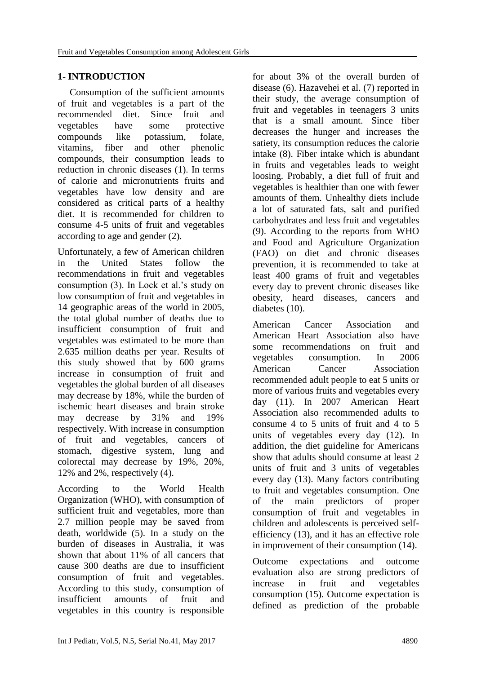# **1- INTRODUCTION**

 Consumption of the sufficient amounts of fruit and vegetables is a part of the recommended diet. Since fruit and vegetables have some protective compounds like potassium, folate, vitamins, fiber and other phenolic compounds, their consumption leads to reduction in chronic diseases (1). In terms of calorie and micronutrients fruits and vegetables have low density and are considered as critical parts of a healthy diet. It is recommended for children to consume 4-5 units of fruit and vegetables according to age and gender (2).

Unfortunately, a few of American children in the United States follow the recommendations in fruit and vegetables consumption (3). In Lock et al.'s study on low consumption of fruit and vegetables in 14 geographic areas of the world in 2005, the total global number of deaths due to insufficient consumption of fruit and vegetables was estimated to be more than 2.635 million deaths per year. Results of this study showed that by 600 grams increase in consumption of fruit and vegetables the global burden of all diseases may decrease by 18%, while the burden of ischemic heart diseases and brain stroke may decrease by 31% and 19% respectively. With increase in consumption of fruit and vegetables, cancers of stomach, digestive system, lung and colorectal may decrease by 19%, 20%, 12% and 2%, respectively (4).

According to the World Health Organization (WHO), with consumption of sufficient fruit and vegetables, more than 2.7 million people may be saved from death, worldwide (5). In a study on the burden of diseases in Australia, it was shown that about 11% of all cancers that cause 300 deaths are due to insufficient consumption of fruit and vegetables. According to this study, consumption of insufficient amounts of fruit and vegetables in this country is responsible

for about 3% of the overall burden of disease (6). Hazavehei et al. (7) reported in their study, the average consumption of fruit and vegetables in teenagers 3 units that is a small amount. Since fiber decreases the hunger and increases the satiety, its consumption reduces the calorie intake (8). Fiber intake which is abundant in fruits and vegetables leads to weight loosing. Probably, a diet full of fruit and vegetables is healthier than one with fewer amounts of them. Unhealthy diets include a lot of saturated fats, salt and purified carbohydrates and less fruit and vegetables (9). According to the reports from WHO and Food and Agriculture Organization (FAO) on diet and chronic diseases prevention, it is recommended to take at least 400 grams of fruit and vegetables every day to prevent chronic diseases like obesity, heard diseases, cancers and diabetes (10).

American Cancer Association and American Heart Association also have some recommendations on fruit and vegetables consumption. In 2006 American Cancer Association recommended adult people to eat 5 units or more of various fruits and vegetables every day (11). In 2007 American Heart Association also recommended adults to consume 4 to 5 units of fruit and 4 to 5 units of vegetables every day (12). In addition, the diet guideline for Americans show that adults should consume at least 2 units of fruit and 3 units of vegetables every day (13). Many factors contributing to fruit and vegetables consumption. One of the main predictors of proper consumption of fruit and vegetables in children and adolescents is perceived selfefficiency (13), and it has an effective role in improvement of their consumption (14).

Outcome expectations and outcome evaluation also are strong predictors of increase in fruit and vegetables consumption (15). Outcome expectation is defined as prediction of the probable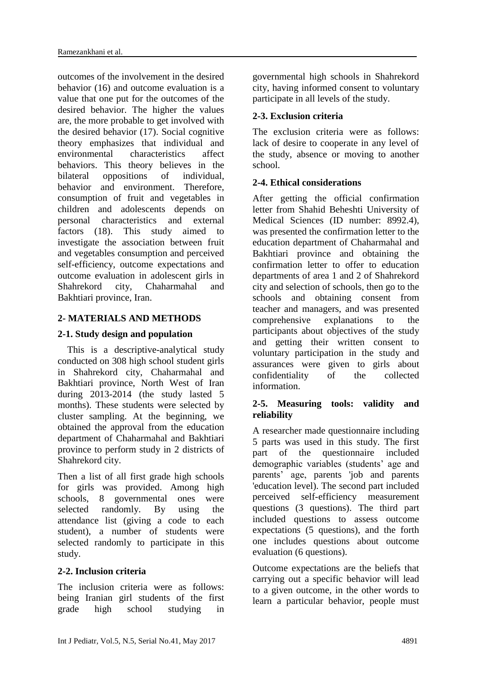outcomes of the involvement in the desired behavior (16) and outcome evaluation is a value that one put for the outcomes of the desired behavior. The higher the values are, the more probable to get involved with the desired behavior (17). Social cognitive theory emphasizes that individual and environmental characteristics affect behaviors. This theory believes in the bilateral oppositions of individual, behavior and environment. Therefore, consumption of fruit and vegetables in children and adolescents depends on personal characteristics and external factors (18). This study aimed to investigate the association between fruit and vegetables consumption and perceived self-efficiency, outcome expectations and outcome evaluation in adolescent girls in Shahrekord city, Chaharmahal and Bakhtiari province, Iran.

# **2- MATERIALS AND METHODS**

### **2-1. Study design and population**

 This is a descriptive-analytical study conducted on 308 high school student girls in Shahrekord city, Chaharmahal and Bakhtiari province, North West of Iran during 2013-2014 (the study lasted 5 months). These students were selected by cluster sampling. At the beginning, we obtained the approval from the education department of Chaharmahal and Bakhtiari province to perform study in 2 districts of Shahrekord city.

Then a list of all first grade high schools for girls was provided. Among high schools, 8 governmental ones were selected randomly. By using the attendance list (giving a code to each student), a number of students were selected randomly to participate in this study.

### **2-2. Inclusion criteria**

The inclusion criteria were as follows: being Iranian girl students of the first grade high school studying in governmental high schools in Shahrekord city, having informed consent to voluntary participate in all levels of the study.

# **2-3. Exclusion criteria**

The exclusion criteria were as follows: lack of desire to cooperate in any level of the study, absence or moving to another school.

### **2-4. Ethical considerations**

After getting the official confirmation letter from Shahid Beheshti University of Medical Sciences (ID number: 8992.4), was presented the confirmation letter to the education department of Chaharmahal and Bakhtiari province and obtaining the confirmation letter to offer to education departments of area 1 and 2 of Shahrekord city and selection of schools, then go to the schools and obtaining consent from teacher and managers, and was presented comprehensive explanations to the participants about objectives of the study and getting their written consent to voluntary participation in the study and assurances were given to girls about confidentiality of the collected information.

# **2-5. Measuring tools: validity and reliability**

A researcher made questionnaire including 5 parts was used in this study. The first part of the questionnaire included demographic variables (students' age and parents' age, parents 'job and parents 'education level). The second part included perceived self-efficiency measurement questions (3 questions). The third part included questions to assess outcome expectations (5 questions), and the forth one includes questions about outcome evaluation (6 questions).

Outcome expectations are the beliefs that carrying out a specific behavior will lead to a given outcome, in the other words to learn a particular behavior, people must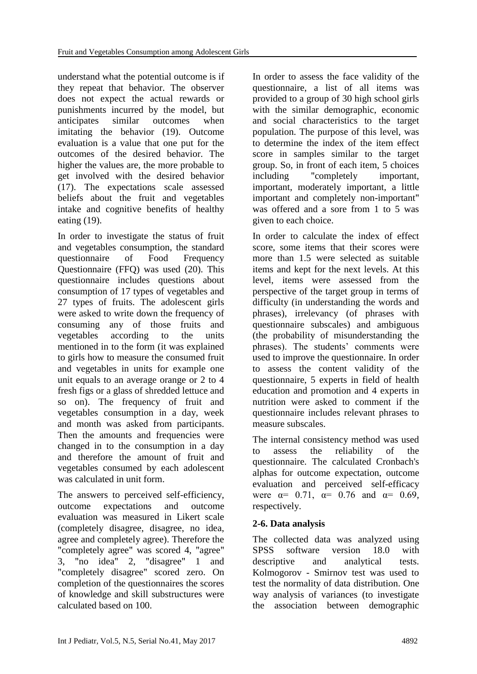understand what the potential outcome is if they repeat that behavior. The observer does not expect the actual rewards or punishments incurred by the model, but anticipates similar outcomes when imitating the behavior (19). Outcome evaluation is a value that one put for the outcomes of the desired behavior. The higher the values are, the more probable to get involved with the desired behavior (17). The expectations scale assessed beliefs about the fruit and vegetables intake and cognitive benefits of healthy eating (19).

In order to investigate the status of fruit and vegetables consumption, the standard questionnaire of Food Frequency Questionnaire (FFQ) was used (20). This questionnaire includes questions about consumption of 17 types of vegetables and 27 types of fruits. The adolescent girls were asked to write down the frequency of consuming any of those fruits and vegetables according to the units mentioned in to the form (it was explained to girls how to measure the consumed fruit and vegetables in units for example one unit equals to an average orange or 2 to 4 fresh figs or a glass of shredded lettuce and so on). The frequency of fruit and vegetables consumption in a day, week and month was asked from participants. Then the amounts and frequencies were changed in to the consumption in a day and therefore the amount of fruit and vegetables consumed by each adolescent was calculated in unit form.

The answers to perceived self-efficiency, outcome expectations and outcome evaluation was measured in Likert scale (completely disagree, disagree, no idea, agree and completely agree). Therefore the "completely agree" was scored 4, "agree" 3, "no idea" 2, "disagree" 1 and "completely disagree" scored zero. On completion of the questionnaires the scores of knowledge and skill substructures were calculated based on 100.

In order to assess the face validity of the questionnaire, a list of all items was provided to a group of 30 high school girls with the similar demographic, economic and social characteristics to the target population. The purpose of this level, was to determine the index of the item effect score in samples similar to the target group. So, in front of each item, 5 choices including "completely important, important, moderately important, a little important and completely non-important" was offered and a sore from 1 to 5 was given to each choice.

In order to calculate the index of effect score, some items that their scores were more than 1.5 were selected as suitable items and kept for the next levels. At this level, items were assessed from the perspective of the target group in terms of difficulty (in understanding the words and phrases), irrelevancy (of phrases with questionnaire subscales) and ambiguous (the probability of misunderstanding the phrases). The students' comments were used to improve the questionnaire. In order to assess the content validity of the questionnaire, 5 experts in field of health education and promotion and 4 experts in nutrition were asked to comment if the questionnaire includes relevant phrases to measure subscales.

The internal consistency method was used to assess the reliability of the questionnaire. The calculated Cronbach's alphas for outcome expectation, outcome evaluation and perceived self-efficacy were  $\alpha$ = 0.71,  $\alpha$ = 0.76 and  $\alpha$ = 0.69, respectively.

# **2-6. Data analysis**

The collected data was analyzed using SPSS software version 18.0 with descriptive and analytical tests. Kolmogorov - Smirnov test was used to test the normality of data distribution. One way analysis of variances (to investigate the association between demographic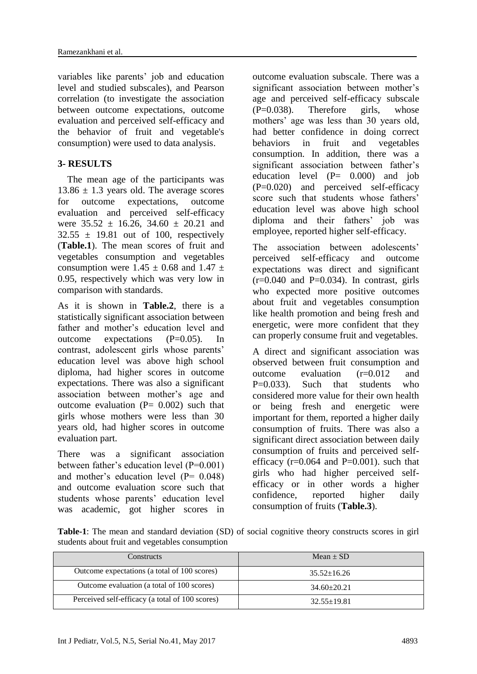variables like parents' job and education level and studied subscales), and Pearson correlation (to investigate the association between outcome expectations, outcome evaluation and perceived self-efficacy and the behavior of fruit and vegetable's consumption) were used to data analysis.

### **3- RESULTS**

 The mean age of the participants was  $13.86 \pm 1.3$  years old. The average scores for outcome expectations, outcome evaluation and perceived self-efficacy were  $35.52 \pm 16.26$ ,  $34.60 \pm 20.21$  and  $32.55 \pm 19.81$  out of 100, respectively (**Table.1**). The mean scores of fruit and vegetables consumption and vegetables consumption were  $1.45 \pm 0.68$  and  $1.47 \pm 1.6$ 0.95, respectively which was very low in comparison with standards.

As it is shown in **Table.2**, there is a statistically significant association between father and mother's education level and outcome expectations (P=0.05). In contrast, adolescent girls whose parents' education level was above high school diploma, had higher scores in outcome expectations. There was also a significant association between mother's age and outcome evaluation  $(P= 0.002)$  such that girls whose mothers were less than 30 years old, had higher scores in outcome evaluation part.

There was a significant association between father's education level (P=0.001) and mother's education level  $(P= 0.048)$ and outcome evaluation score such that students whose parents' education level was academic, got higher scores in outcome evaluation subscale. There was a significant association between mother's age and perceived self-efficacy subscale  $(P=0.038)$ . Therefore girls, whose mothers' age was less than 30 years old, had better confidence in doing correct behaviors in fruit and vegetables consumption. In addition, there was a significant association between father's education level  $(P= 0.000)$  and job (P=0.020) and perceived self-efficacy score such that students whose fathers' education level was above high school diploma and their fathers' job was employee, reported higher self-efficacy.

The association between adolescents' perceived self-efficacy and outcome expectations was direct and significant  $(r=0.040$  and P=0.034). In contrast, girls who expected more positive outcomes about fruit and vegetables consumption like health promotion and being fresh and energetic, were more confident that they can properly consume fruit and vegetables.

A direct and significant association was observed between fruit consumption and outcome evaluation (r=0.012 and  $P=0.033$ . Such that students who considered more value for their own health or being fresh and energetic were important for them, reported a higher daily consumption of fruits. There was also a significant direct association between daily consumption of fruits and perceived selfefficacy  $(r=0.064$  and  $P=0.001$ ). such that girls who had higher perceived selfefficacy or in other words a higher confidence, reported higher daily consumption of fruits (**Table.3**).

**Table-1**: The mean and standard deviation (SD) of social cognitive theory constructs scores in girl students about fruit and vegetables consumption

| Constructs                                      | Mean $\pm$ SD     |
|-------------------------------------------------|-------------------|
| Outcome expectations (a total of 100 scores)    | $35.52 \pm 16.26$ |
| Outcome evaluation (a total of 100 scores)      | $34.60 \pm 20.21$ |
| Perceived self-efficacy (a total of 100 scores) | $32.55 \pm 19.81$ |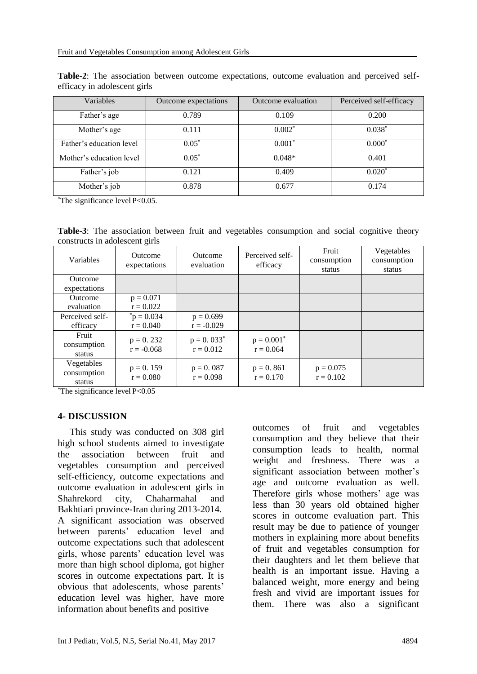| Variables                | Outcome expectations | Outcome evaluation | Perceived self-efficacy |  |
|--------------------------|----------------------|--------------------|-------------------------|--|
| Father's age             | 0.789                | 0.109              | 0.200                   |  |
| Mother's age             | 0.111                | $0.002*$           | $0.038*$                |  |
| Father's education level | $0.05*$              | $0.001*$           | $0.000*$                |  |
| Mother's education level | $0.05*$              | $0.048*$           | 0.401                   |  |
| Father's job             | 0.121                | 0.409              | $0.020*$                |  |
| Mother's job             | 0.878                | 0.677              | 0.174                   |  |

**Table-2**: The association between outcome expectations, outcome evaluation and perceived selfefficacy in adolescent girls

\*The significance level P<0.05.

**Table-3**: The association between fruit and vegetables consumption and social cognitive theory constructs in adolescent girls

| Variables                           | <b>Outcome</b><br>expectations | <b>Outcome</b><br>evaluation | Perceived self-<br>efficacy  | Fruit<br>consumption<br>status | Vegetables<br>consumption<br>status |
|-------------------------------------|--------------------------------|------------------------------|------------------------------|--------------------------------|-------------------------------------|
| Outcome<br>expectations             |                                |                              |                              |                                |                                     |
| <b>Outcome</b><br>evaluation        | $p = 0.071$<br>$r = 0.022$     |                              |                              |                                |                                     |
| Perceived self-<br>efficacy         | $p = 0.034$<br>$r = 0.040$     | $p = 0.699$<br>$r = -0.029$  |                              |                                |                                     |
| Fruit<br>consumption<br>status      | $p = 0.232$<br>$r = -0.068$    | $p = 0.033^*$<br>$r = 0.012$ | $p = 0.001^*$<br>$r = 0.064$ |                                |                                     |
| Vegetables<br>consumption<br>status | $p = 0.159$<br>$r = 0.080$     | $p = 0.087$<br>$r = 0.098$   | $p = 0.861$<br>$r = 0.170$   | $p = 0.075$<br>$r = 0.102$     |                                     |

 $*$ The significance level P< $0.05$ 

#### **4- DISCUSSION**

 This study was conducted on 308 girl high school students aimed to investigate the association between fruit and vegetables consumption and perceived self-efficiency, outcome expectations and outcome evaluation in adolescent girls in Shahrekord city, Chaharmahal and Bakhtiari province-Iran during 2013-2014. A significant association was observed between parents' education level and outcome expectations such that adolescent girls, whose parents' education level was more than high school diploma, got higher scores in outcome expectations part. It is obvious that adolescents, whose parents' education level was higher, have more information about benefits and positive

outcomes of fruit and vegetables consumption and they believe that their consumption leads to health, normal weight and freshness. There was a significant association between mother's age and outcome evaluation as well. Therefore girls whose mothers' age was less than 30 years old obtained higher scores in outcome evaluation part. This result may be due to patience of younger mothers in explaining more about benefits of fruit and vegetables consumption for their daughters and let them believe that health is an important issue. Having a balanced weight, more energy and being fresh and vivid are important issues for them. There was also a significant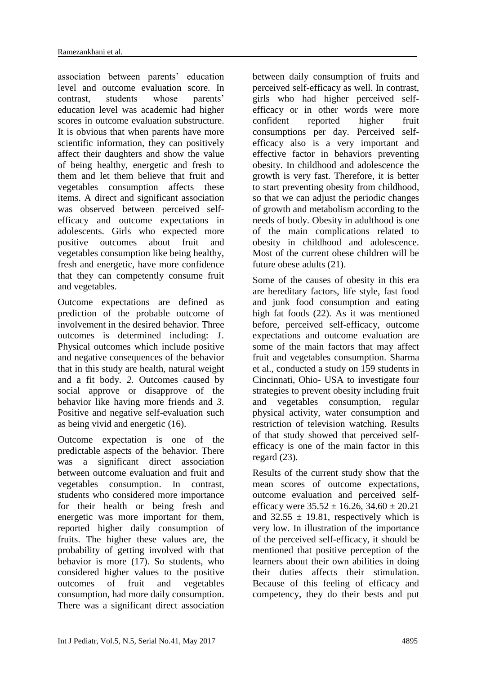association between parents' education level and outcome evaluation score. In contrast, students whose parents' education level was academic had higher scores in outcome evaluation substructure. It is obvious that when parents have more scientific information, they can positively affect their daughters and show the value of being healthy, energetic and fresh to them and let them believe that fruit and vegetables consumption affects these items. A direct and significant association was observed between perceived selfefficacy and outcome expectations in adolescents. Girls who expected more positive outcomes about fruit and vegetables consumption like being healthy, fresh and energetic, have more confidence that they can competently consume fruit and vegetables.

Outcome expectations are defined as prediction of the probable outcome of involvement in the desired behavior. Three outcomes is determined including: *1.* Physical outcomes which include positive and negative consequences of the behavior that in this study are health, natural weight and a fit body. *2.* Outcomes caused by social approve or disapprove of the behavior like having more friends and *3.* Positive and negative self-evaluation such as being vivid and energetic (16).

Outcome expectation is one of the predictable aspects of the behavior. There was a significant direct association between outcome evaluation and fruit and vegetables consumption. In contrast, students who considered more importance for their health or being fresh and energetic was more important for them, reported higher daily consumption of fruits. The higher these values are, the probability of getting involved with that behavior is more (17). So students, who considered higher values to the positive outcomes of fruit and vegetables consumption, had more daily consumption. There was a significant direct association between daily consumption of fruits and perceived self-efficacy as well. In contrast, girls who had higher perceived selfefficacy or in other words were more confident reported higher fruit consumptions per day. Perceived selfefficacy also is a very important and effective factor in behaviors preventing obesity. In childhood and adolescence the growth is very fast. Therefore, it is better to start preventing obesity from childhood, so that we can adjust the periodic changes of growth and metabolism according to the needs of body. Obesity in adulthood is one of the main complications related to obesity in childhood and adolescence. Most of the current obese children will be future obese adults (21).

Some of the causes of obesity in this era are hereditary factors, life style, fast food and junk food consumption and eating high fat foods (22). As it was mentioned before, perceived self-efficacy, outcome expectations and outcome evaluation are some of the main factors that may affect fruit and vegetables consumption. Sharma et al., conducted a study on 159 students in Cincinnati, Ohio- USA to investigate four strategies to prevent obesity including fruit and vegetables consumption, regular physical activity, water consumption and restriction of television watching. Results of that study showed that perceived selfefficacy is one of the main factor in this regard (23).

Results of the current study show that the mean scores of outcome expectations, outcome evaluation and perceived selfefficacy were  $35.52 \pm 16.26$ ,  $34.60 \pm 20.21$ and  $32.55 \pm 19.81$ , respectively which is very low. In illustration of the importance of the perceived self-efficacy, it should be mentioned that positive perception of the learners about their own abilities in doing their duties affects their stimulation. Because of this feeling of efficacy and competency, they do their bests and put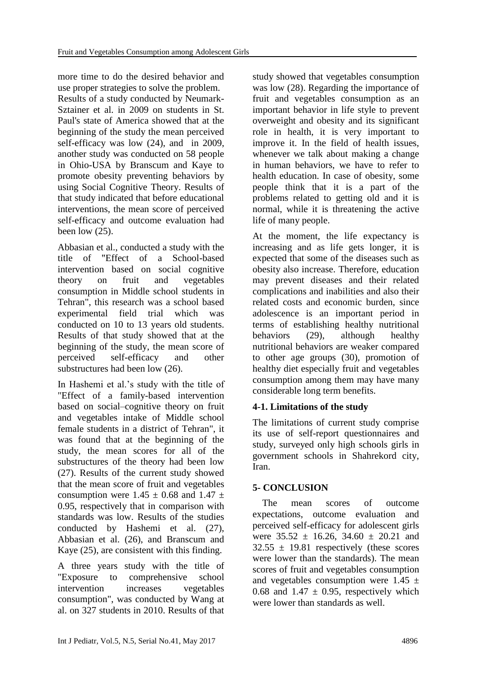more time to do the desired behavior and use proper strategies to solve the problem. Results of a study conducted by Neumark-Sztainer et al. in 2009 on students in St. Paul's state of America showed that at the beginning of the study the mean perceived self-efficacy was low (24), and in 2009, another study was conducted on 58 people in Ohio-USA by Branscum and Kaye to promote obesity preventing behaviors by using Social Cognitive Theory. Results of that study indicated that before educational interventions, the mean score of perceived self-efficacy and outcome evaluation had been low (25).

Abbasian et al., conducted a study with the title of "Effect of a School-based intervention based on social cognitive theory on fruit and vegetables consumption in Middle school students in Tehran", this research was a school based experimental field trial which was conducted on 10 to 13 years old students. Results of that study showed that at the beginning of the study, the mean score of perceived self-efficacy and other substructures had been low (26).

In Hashemi et al.'s study with the title of "Effect of a family-based intervention based on social–cognitive theory on fruit and vegetables intake of Middle school female students in a district of Tehran", it was found that at the beginning of the study, the mean scores for all of the substructures of the theory had been low (27). Results of the current study showed that the mean score of fruit and vegetables consumption were  $1.45 \pm 0.68$  and  $1.47 \pm 1.6$ 0.95, respectively that in comparison with standards was low. Results of the studies conducted by Hashemi et al. (27), Abbasian et al. (26), and Branscum and Kaye (25), are consistent with this finding.

A three years study with the title of "Exposure to comprehensive school intervention increases vegetables consumption", was conducted by Wang at al. on 327 students in 2010. Results of that

study showed that vegetables consumption was low (28). Regarding the importance of fruit and vegetables consumption as an important behavior in life style to prevent overweight and obesity and its significant role in health, it is very important to improve it. In the field of health issues, whenever we talk about making a change in human behaviors, we have to refer to health education. In case of obesity, some people think that it is a part of the problems related to getting old and it is normal, while it is threatening the active life of many people.

At the moment, the life expectancy is increasing and as life gets longer, it is expected that some of the diseases such as obesity also increase. Therefore, education may prevent diseases and their related complications and inabilities and also their related costs and economic burden, since adolescence is an important period in terms of establishing healthy nutritional behaviors (29), although healthy nutritional behaviors are weaker compared to other age groups (30), promotion of healthy diet especially fruit and vegetables consumption among them may have many considerable long term benefits.

# **4-1. Limitations of the study**

The limitations of current study comprise its use of self-report questionnaires and study, surveyed only high schools girls in government schools in Shahrekord city, Iran.

# **5- CONCLUSION**

 The mean scores of outcome expectations, outcome evaluation and perceived self-efficacy for adolescent girls were  $35.52 \pm 16.26$ ,  $34.60 \pm 20.21$  and  $32.55 \pm 19.81$  respectively (these scores were lower than the standards). The mean scores of fruit and vegetables consumption and vegetables consumption were  $1.45 \pm$ 0.68 and 1.47  $\pm$  0.95, respectively which were lower than standards as well.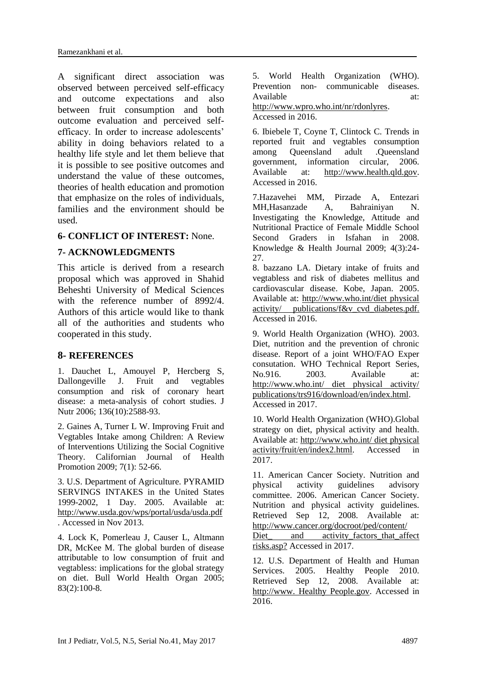A significant direct association was observed between perceived self-efficacy and outcome expectations and also between fruit consumption and both outcome evaluation and perceived selfefficacy. In order to increase adolescents' ability in doing behaviors related to a healthy life style and let them believe that it is possible to see positive outcomes and understand the value of these outcomes, theories of health education and promotion that emphasize on the roles of individuals, families and the environment should be used.

### **6- CONFLICT OF INTEREST:** None.

### **7- ACKNOWLEDGMENTS**

This article is derived from a research proposal which was approved in Shahid Beheshti University of Medical Sciences with the reference number of 8992/4. Authors of this article would like to thank all of the authorities and students who cooperated in this study.

### **8- REFERENCES**

1. [Dauchet L,](http://www.ncbi.nlm.nih.gov/pubmed?term=Dauchet%20L%5BAuthor%5D&cauthor=true&cauthor_uid=16988131) [Amouyel P,](http://www.ncbi.nlm.nih.gov/pubmed?term=Amouyel%20P%5BAuthor%5D&cauthor=true&cauthor_uid=16988131) [Hercberg S,](http://www.ncbi.nlm.nih.gov/pubmed?term=Hercberg%20S%5BAuthor%5D&cauthor=true&cauthor_uid=16988131) [Dallongeville J.](http://www.ncbi.nlm.nih.gov/pubmed?term=Dallongeville%20J%5BAuthor%5D&cauthor=true&cauthor_uid=16988131) Fruit and vegtables consumption and risk of coronary heart disease: a meta-analysis of cohort studies. J Nutr 2006; 136(10):2588-93.

2. Gaines A, Turner L W. Improving Fruit and Vegtables Intake among Children: A Review of Interventions Utilizing the Social Cognitive Theory. Californian Journal of Health Promotion 2009; 7(1): 52-66.

3. U.S. Department of Agriculture. PYRAMID SERVINGS INTAKES in the United States 1999-2002, 1 Day. 2005. Available at: http://www.usda.gov/wps/portal/usda/usda.pdf . Accessed in Nov 2013.

4. Lock K, Pomerleau J, Causer L, Altmann DR, McKee M. The global burden of disease attributable to low consumption of fruit and vegtabless: implications for the global strategy on diet. Bull World Health Organ 2005; 83(2):100-8.

5. World Health Organization (WHO). Prevention non- communicable diseases. Available at: at: http://www.wpro.who.int/nr/rdonlyres. Accessed in 2016.

6. Ibiebele T, Coyne T, Clintock C. Trends in reported fruit and vegtables consumption among Queensland adult .Queensland government, information circular, 2006. Available at: [http://www.health.qld.gov.](http://www.health.qld.gov/) Accessed in 2016.

7.Hazavehei MM, Pirzade A, Entezari MH,Hasanzade A, Bahrainiyan N. Investigating the Knowledge, Attitude and Nutritional Practice of Female Middle School Second Graders in Isfahan in 2008. Knowledge & Health Journal 2009; 4(3):24- 27.

8. bazzano LA. Dietary intake of fruits and vegtabless and risk of diabetes mellitus and cardiovascular disease. Kobe, Japan. 2005. Available at: [http://www.who.int/diet physical](http://www.who.int/diet%20physical%20activity/%20publications/f&v_cvd_diabetes.pdf)  [activity/ publications/f&v\\_cvd\\_diabetes.pdf.](http://www.who.int/diet%20physical%20activity/%20publications/f&v_cvd_diabetes.pdf) Accessed in 2016.

9. World Health Organization (WHO). 2003. Diet, nutrition and the prevention of chronic disease. Report of a joint WHO/FAO Exper consutation. WHO Technical Report Series, No. 916. 2003. Available at: http://www.who.int/ diet physical activity/ publications/trs916/download/en/index.html. Accessed in 2017.

10. World Health Organization (WHO).Global strategy on diet, physical activity and health. Available at: http://www.who.int/ diet physical activity/fruit/en/index2.html. Accessed in 2017.

11. American Cancer Society. Nutrition and physical activity guidelines advisory committee. 2006. American Cancer Society. Nutrition and physical activity guidelines. Retrieved Sep 12, 2008. Available at: http://www.cancer.org/docroot/ped/content/

Diet and activity factors that affect risks.asp? Accessed in 2017.

12. U.S. Department of Health and Human Services. 2005. Healthy People 2010. Retrieved Sep 12, 2008. Available at: http://www. Healthy People.gov. Accessed in 2016.